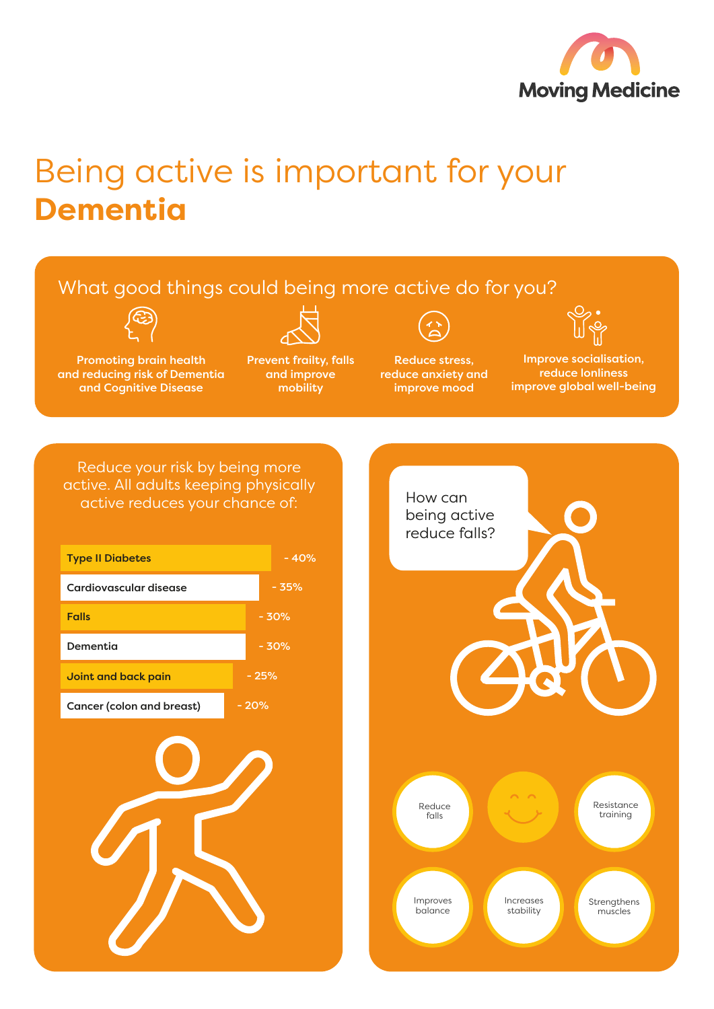

## Being active is important for your **Dementia**

## What good things could being more active do for you?



Promoting brain health and reducing risk of Dementia and Cognitive Disease



Prevent frailty, falls and improve mobility

Reduce stress, reduce anxiety and improve mood

Improve socialisation, reduce lonliness

improve global well-being

Reduce your risk by being more active. All adults keeping physically active reduces your chance of: How can